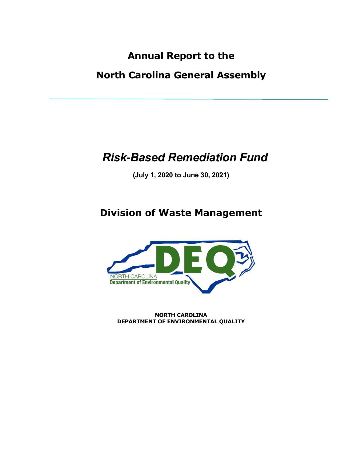## **Annual Report to the**

### **North Carolina General Assembly**

# *Risk-Based Remediation Fund*

**(July 1, 2020 to June 30, 2021)**

## **Division of Waste Management**



**NORTH CAROLINA DEPARTMENT OF ENVIRONMENTAL QUALITY**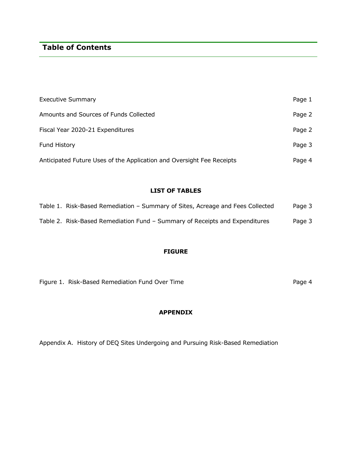### **Table of Contents**

| <b>Executive Summary</b>                                              | Page 1 |
|-----------------------------------------------------------------------|--------|
| Amounts and Sources of Funds Collected                                | Page 2 |
| Fiscal Year 2020-21 Expenditures                                      | Page 2 |
| <b>Fund History</b>                                                   | Page 3 |
| Anticipated Future Uses of the Application and Oversight Fee Receipts | Page 4 |

### **LIST OF TABLES**

| Table 1. Risk-Based Remediation – Summary of Sites, Acreage and Fees Collected | Page 3 |
|--------------------------------------------------------------------------------|--------|
| Table 2. Risk-Based Remediation Fund – Summary of Receipts and Expenditures    | Page 3 |

#### **FIGURE**

| Figure 1. Risk-Based Remediation Fund Over Time |  | Page 4 |
|-------------------------------------------------|--|--------|
|-------------------------------------------------|--|--------|

#### **APPENDIX**

Appendix A. History of DEQ Sites Undergoing and Pursuing Risk-Based Remediation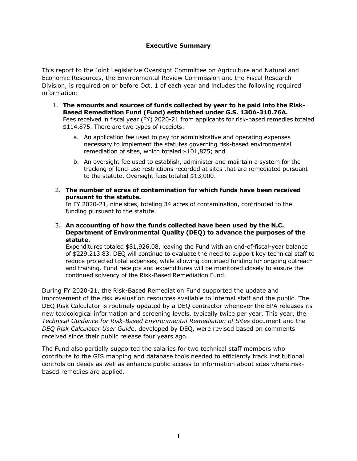#### **Executive Summary**

This report to the Joint Legislative Oversight Committee on Agriculture and Natural and Economic Resources, the Environmental Review Commission and the Fiscal Research Division, is required on or before Oct. 1 of each year and includes the following required information:

- 1. **The amounts and sources of funds collected by year to be paid into the Risk-Based Remediation Fund (Fund) established under G.S. 130A-310.76A.** Fees received in fiscal year (FY) 2020-21 from applicants for risk-based remedies totaled \$114,875. There are two types of receipts:
	- a. An application fee used to pay for administrative and operating expenses necessary to implement the statutes governing risk-based environmental remediation of sites, which totaled \$101,875; and
	- b. An oversight fee used to establish, administer and maintain a system for the tracking of land-use restrictions recorded at sites that are remediated pursuant to the statute. Oversight fees totaled \$13,000.
- 2. **The number of acres of contamination for which funds have been received pursuant to the statute.**

In FY 2020-21, nine sites, totaling 34 acres of contamination, contributed to the funding pursuant to the statute.

3. **An accounting of how the funds collected have been used by the N.C. Department of Environmental Quality (DEQ) to advance the purposes of the statute.**

Expenditures totaled \$81,926.08, leaving the Fund with an end-of-fiscal-year balance of \$229,213.83. DEQ will continue to evaluate the need to support key technical staff to reduce projected total expenses, while allowing continued funding for ongoing outreach and training. Fund receipts and expenditures will be monitored closely to ensure the continued solvency of the Risk-Based Remediation Fund.

During FY 2020-21, the Risk-Based Remediation Fund supported the update and improvement of the risk evaluation resources available to internal staff and the public. The DEQ Risk Calculator is routinely updated by a DEQ contractor whenever the EPA releases its new toxicological information and screening levels, typically twice per year. This year, the *Technical Guidance for Risk-Based Environmental Remediation of Sites* document and the *DEQ Risk Calculator User Guide*, developed by DEQ, were revised based on comments received since their public release four years ago.

The Fund also partially supported the salaries for two technical staff members who contribute to the GIS mapping and database tools needed to efficiently track institutional controls on deeds as well as enhance public access to information about sites where riskbased remedies are applied.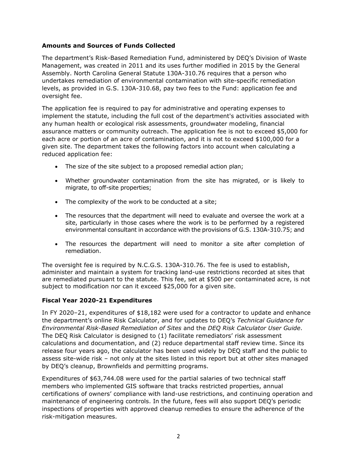#### **Amounts and Sources of Funds Collected**

The department's Risk-Based Remediation Fund, administered by DEQ's Division of Waste Management, was created in 2011 and its uses further modified in 2015 by the General Assembly. North Carolina General Statute 130A-310.76 requires that a person who undertakes remediation of environmental contamination with site-specific remediation levels, as provided in G.S. 130A-310.68, pay two fees to the Fund: application fee and oversight fee.

The application fee is required to pay for administrative and operating expenses to implement the statute, including the full cost of the department's activities associated with any human health or ecological risk assessments, groundwater modeling, financial assurance matters or community outreach. The application fee is not to exceed \$5,000 for each acre or portion of an acre of contamination, and it is not to exceed \$100,000 for a given site. The department takes the following factors into account when calculating a reduced application fee:

- The size of the site subject to a proposed remedial action plan;
- Whether groundwater contamination from the site has migrated, or is likely to migrate, to off-site properties;
- The complexity of the work to be conducted at a site;
- The resources that the department will need to evaluate and oversee the work at a site, particularly in those cases where the work is to be performed by a registered environmental consultant in accordance with the provisions of G.S. 130A-310.75; and
- The resources the department will need to monitor a site after completion of remediation.

The oversight fee is required by N.C.G.S. 130A-310.76. The fee is used to establish, administer and maintain a system for tracking land-use restrictions recorded at sites that are remediated pursuant to the statute. This fee, set at \$500 per contaminated acre, is not subject to modification nor can it exceed \$25,000 for a given site.

#### **Fiscal Year 2020-21 Expenditures**

In FY 2020–21, expenditures of \$18,182 were used for a contractor to update and enhance the department's online Risk Calculator, and for updates to DEQ's *Technical Guidance for Environmental Risk-Based Remediation of Sites* and the *DEQ Risk Calculator User Guide*. The DEQ Risk Calculator is designed to (1) facilitate remediators' risk assessment calculations and documentation, and (2) reduce departmental staff review time. Since its release four years ago, the calculator has been used widely by DEQ staff and the public to assess site-wide risk – not only at the sites listed in this report but at other sites managed by DEQ's cleanup, Brownfields and permitting programs.

Expenditures of \$63,744.08 were used for the partial salaries of two technical staff members who implemented GIS software that tracks restricted properties, annual certifications of owners' compliance with land-use restrictions, and continuing operation and maintenance of engineering controls. In the future, fees will also support DEQ's periodic inspections of properties with approved cleanup remedies to ensure the adherence of the risk-mitigation measures.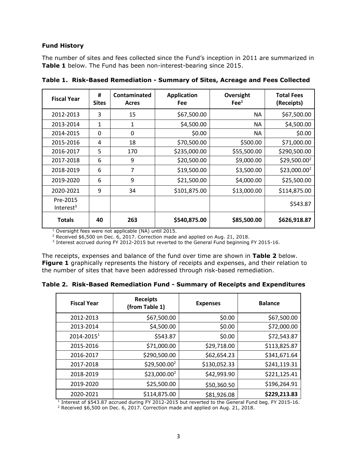#### **Fund History**

The number of sites and fees collected since the Fund's inception in 2011 are summarized in **Table 1** below. The Fund has been non-interest-bearing since 2015.

| <b>Fiscal Year</b>       | #<br><b>Sites</b> | Contaminated<br><b>Acres</b> | <b>Application</b><br><b>Fee</b> | Oversight<br>$\text{Fe}^1$ | <b>Total Fees</b><br>(Receipts) |
|--------------------------|-------------------|------------------------------|----------------------------------|----------------------------|---------------------------------|
| 2012-2013                | 3                 | 15                           | \$67,500.00                      | <b>NA</b>                  | \$67,500.00                     |
| 2013-2014                | 1                 | 1                            | \$4,500.00                       | <b>NA</b>                  | \$4,500.00                      |
| 2014-2015                | 0                 | 0                            | \$0.00                           | <b>NA</b>                  | \$0.00                          |
| 2015-2016                | 4                 | 18                           | \$70,500.00                      | \$500.00                   | \$71,000.00                     |
| 2016-2017                | 5                 | 170                          | \$235,000.00                     | \$55,500.00                | \$290,500.00                    |
| 2017-2018                | 6                 | 9                            | \$20,500.00                      | \$9,000.00                 | $$29,500.00^2$                  |
| 2018-2019                | 6                 | 7                            | \$19,500.00                      | \$3,500.00                 | $$23,000.00^2$                  |
| 2019-2020                | 6                 | 9                            | \$21,500.00                      | \$4,000.00                 | \$25,500.00                     |
| 2020-2021                | 9                 | 34                           | \$101,875.00                     | \$13,000.00                | \$114,875.00                    |
| Pre-2015<br>Interest $3$ |                   |                              |                                  |                            | \$543.87                        |
| <b>Totals</b>            | 40                | 263                          | \$540,875.00                     | \$85,500.00                | \$626,918.87                    |

**Table 1. Risk-Based Remediation - Summary of Sites, Acreage and Fees Collected**

<sup>1</sup> Oversight fees were not applicable (NA) until 2015.

<sup>2</sup> Received \$6,500 on Dec. 6, 2017. Correction made and applied on Aug. 21, 2018.

<sup>3</sup> Interest accrued during FY 2012-2015 but reverted to the General Fund beginning FY 2015-16.

The receipts, expenses and balance of the fund over time are shown in **Table 2** below. **Figure 1** graphically represents the history of receipts and expenses, and their relation to the number of sites that have been addressed through risk-based remediation.

**Table 2. Risk-Based Remediation Fund - Summary of Receipts and Expenditures**

| <b>Fiscal Year</b>     | <b>Receipts</b><br>(from Table 1) | <b>Expenses</b> | <b>Balance</b> |
|------------------------|-----------------------------------|-----------------|----------------|
| 2012-2013              | \$67,500.00                       | \$0.00          | \$67,500.00    |
| 2013-2014              | \$4,500.00                        | \$0.00          | \$72,000.00    |
| 2014-2015 <sup>1</sup> | \$543.87                          | \$0.00          | \$72,543.87    |
| 2015-2016              | \$71,000.00                       | \$29,718.00     | \$113,825.87   |
| 2016-2017              | \$290,500.00                      | \$62,654.23     | \$341,671.64   |
| 2017-2018              | $$29,500.00^2$                    | \$130,052.33    | \$241,119.31   |
| 2018-2019              | $$23,000.00^2$                    | \$42,993.90     | \$221,125.41   |
| 2019-2020              | \$25,500.00                       | \$50,360.50     | \$196,264.91   |
| 2020-2021              | \$114,875.00                      | \$81,926.08     | \$229,213.83   |

<sup>1</sup> Interest of \$543.87 accrued during FY 2012-2015 but reverted to the General Fund beg. FY 2015-16.  $2$  Received \$6,500 on Dec. 6, 2017. Correction made and applied on Aug. 21, 2018.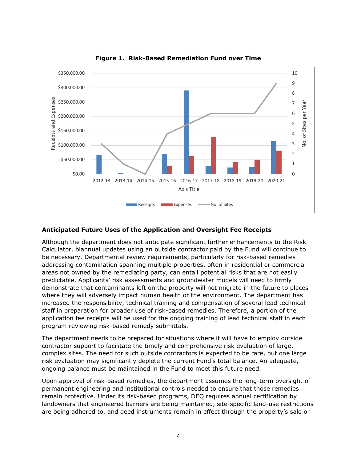

**Figure 1. Risk-Based Remediation Fund over Time**

#### **Anticipated Future Uses of the Application and Oversight Fee Receipts**

Although the department does not anticipate significant further enhancements to the Risk Calculator, biannual updates using an outside contractor paid by the Fund will continue to be necessary. Departmental review requirements, particularly for risk-based remedies addressing contamination spanning multiple properties, often in residential or commercial areas not owned by the remediating party, can entail potential risks that are not easily predictable. Applicants' risk assessments and groundwater models will need to firmly demonstrate that contaminants left on the property will not migrate in the future to places where they will adversely impact human health or the environment. The department has increased the responsibility, technical training and compensation of several lead technical staff in preparation for broader use of risk-based remedies. Therefore, a portion of the application fee receipts will be used for the ongoing training of lead technical staff in each program reviewing risk-based remedy submittals.

The department needs to be prepared for situations where it will have to employ outside contractor support to facilitate the timely and comprehensive risk evaluation of large, complex sites. The need for such outside contractors is expected to be rare, but one large risk evaluation may significantly deplete the current Fund's total balance. An adequate, ongoing balance must be maintained in the Fund to meet this future need.

Upon approval of risk-based remedies, the department assumes the long-term oversight of permanent engineering and institutional controls needed to ensure that those remedies remain protective. Under its risk-based programs, DEQ requires annual certification by landowners that engineered barriers are being maintained, site-specific land-use restrictions are being adhered to, and deed instruments remain in effect through the property's sale or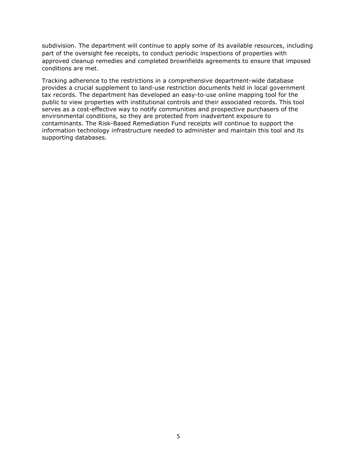subdivision. The department will continue to apply some of its available resources, including part of the oversight fee receipts, to conduct periodic inspections of properties with approved cleanup remedies and completed brownfields agreements to ensure that imposed conditions are met.

Tracking adherence to the restrictions in a comprehensive department-wide database provides a crucial supplement to land-use restriction documents held in local government tax records. The department has developed an easy-to-use online mapping tool for the public to view properties with institutional controls and their associated records. This tool serves as a cost-effective way to notify communities and prospective purchasers of the environmental conditions, so they are protected from inadvertent exposure to contaminants. The Risk-Based Remediation Fund receipts will continue to support the information technology infrastructure needed to administer and maintain this tool and its supporting databases.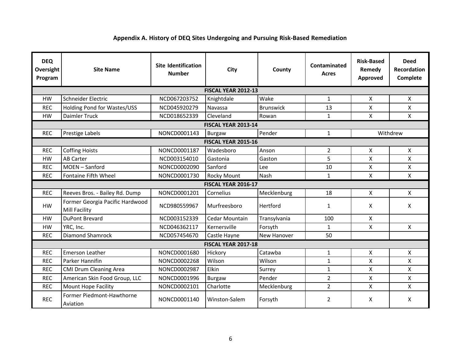### **Appendix A. History of DEQ Sites Undergoing and Pursuing Risk‐Based Remediation**

| <b>DEQ</b><br>Oversight<br>Program | <b>Site Name</b>                                 | <b>Site Identification</b><br><b>Number</b> | <b>City</b>                | County           | Contaminated<br><b>Acres</b> | <b>Risk-Based</b><br>Remedy<br>Approved | <b>Deed</b><br><b>Recordation</b><br>Complete |  |
|------------------------------------|--------------------------------------------------|---------------------------------------------|----------------------------|------------------|------------------------------|-----------------------------------------|-----------------------------------------------|--|
|                                    | FISCAL YEAR 2012-13                              |                                             |                            |                  |                              |                                         |                                               |  |
| <b>HW</b>                          | Schneider Electric                               | NCD067203752                                | Knightdale                 | Wake             | $\mathbf{1}$                 | X                                       | X                                             |  |
| <b>REC</b>                         | Holding Pond for Wastes/USS                      | NCD045920279                                | Navassa                    | <b>Brunswick</b> | 13                           | X                                       | X                                             |  |
| <b>HW</b>                          | Daimler Truck                                    | NCD018652339                                | Cleveland                  | Rowan            | $\mathbf{1}$                 | X                                       | X.                                            |  |
|                                    |                                                  |                                             | <b>FISCAL YEAR 2013-14</b> |                  |                              |                                         |                                               |  |
| <b>REC</b>                         | Prestige Labels                                  | NONCD0001143                                | <b>Burgaw</b>              | Pender           | 1                            |                                         | Withdrew                                      |  |
|                                    |                                                  |                                             | <b>FISCAL YEAR 2015-16</b> |                  |                              |                                         |                                               |  |
| <b>REC</b>                         | <b>Coffing Hoists</b>                            | NONCD0001187                                | Wadesboro                  | Anson            | $\overline{2}$               | X                                       | X.                                            |  |
| <b>HW</b>                          | <b>AB Carter</b>                                 | NCD003154010                                | Gastonia                   | Gaston           | 5                            | X                                       | X                                             |  |
| <b>REC</b>                         | MOEN-Sanford                                     | NONCD0002090                                | Sanford                    | Lee              | 10                           | X                                       | X                                             |  |
| <b>REC</b>                         | Fontaine Fifth Wheel                             | NONCD0001730                                | <b>Rocky Mount</b>         | Nash             | $\mathbf{1}$                 | $\boldsymbol{\mathsf{X}}$               | $\mathsf{X}$                                  |  |
|                                    | <b>FISCAL YEAR 2016-17</b>                       |                                             |                            |                  |                              |                                         |                                               |  |
| <b>REC</b>                         | Reeves Bros. - Bailey Rd. Dump                   | NONCD0001201                                | Cornelius                  | Mecklenburg      | 18                           | X                                       | X                                             |  |
| <b>HW</b>                          | Former Georgia Pacific Hardwood<br>Mill Facility | NCD980559967                                | Murfreesboro               | Hertford         | $\mathbf{1}$                 | X                                       | X                                             |  |
| <b>HW</b>                          | <b>DuPont Brevard</b>                            | NCD003152339                                | <b>Cedar Mountain</b>      | Transylvania     | 100                          | X                                       |                                               |  |
| <b>HW</b>                          | YRC, Inc.                                        | NCD046362117                                | Kernersville               | Forsyth          | $\mathbf{1}$                 | X                                       | X                                             |  |
| <b>REC</b>                         | Diamond Shamrock                                 | NCD057454670                                | Castle Hayne               | New Hanover      | 50                           |                                         |                                               |  |
| <b>FISCAL YEAR 2017-18</b>         |                                                  |                                             |                            |                  |                              |                                         |                                               |  |
| <b>REC</b>                         | <b>Emerson Leather</b>                           | NONCD0001680                                | Hickory                    | Catawba          | $\mathbf{1}$                 | X                                       | X                                             |  |
| <b>REC</b>                         | Parker Hannifin                                  | NONCD0002268                                | Wilson                     | Wilson           | $\mathbf{1}$                 | Χ                                       | X                                             |  |
| <b>REC</b>                         | <b>CMI Drum Cleaning Area</b>                    | NONCD0002987                                | Elkin                      | Surrey           | $\mathbf{1}$                 | X                                       | X                                             |  |
| <b>REC</b>                         | American Skin Food Group, LLC                    | NONCD0001996                                | <b>Burgaw</b>              | Pender           | $\overline{2}$               | X                                       | X                                             |  |
| <b>REC</b>                         | <b>Mount Hope Facility</b>                       | NONCD0002101                                | Charlotte                  | Mecklenburg      | $\overline{2}$               | X                                       | $\mathsf{X}$                                  |  |
| <b>REC</b>                         | Former Piedmont-Hawthorne<br>Aviation            | NONCD0001140                                | Winston-Salem              | Forsyth          | $\overline{2}$               | X                                       | X                                             |  |